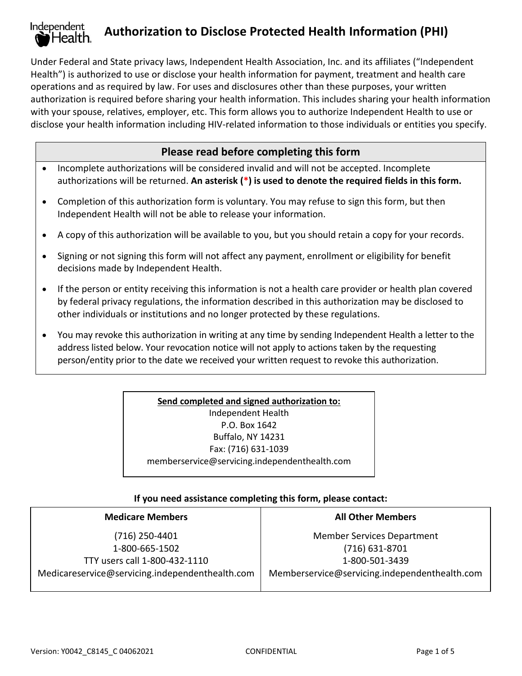#### Independent **Authorization to Disclose Protected Health Information (PHI)** Health.

Under Federal and State privacy laws, Independent Health Association, Inc. and its affiliates ("Independent Health") is authorized to use or disclose your health information for payment, treatment and health care operations and as required by law. For uses and disclosures other than these purposes, your written authorization is required before sharing your health information. This includes sharing your health information with your spouse, relatives, employer, etc. This form allows you to authorize Independent Health to use or disclose your health information including HIV-related information to those individuals or entities you specify.

# **Please read before completing this form**

- Incomplete authorizations will be considered invalid and will not be accepted. Incomplete authorizations will be returned. **An asterisk (\*) is used to denote the required fields in this form.**
- Completion of this authorization form is voluntary. You may refuse to sign this form, but then Independent Health will not be able to release your information.
- A copy of this authorization will be available to you, but you should retain a copy for your records.
- Signing or not signing this form will not affect any payment, enrollment or eligibility for benefit decisions made by Independent Health.
- If the person or entity receiving this information is not a health care provider or health plan covered by federal privacy regulations, the information described in this authorization may be disclosed to other individuals or institutions and no longer protected by these regulations.
- You may revoke this authorization in writing at any time by sending Independent Health a letter to the address listed below. Your revocation notice will not apply to actions taken by the requesting person/entity prior to the date we received your written request to revoke this authorization.

**Send completed and signed authorization to:** Independent Health P.O. Box 1642 Buffalo, NY 14231 Fax: (716) 631-1039 memberservice@servicing.independenthealth.com

### **If you need assistance completing this form, please contact:**

| <b>Medicare Members</b>                         | <b>All Other Members</b>                      |  |
|-------------------------------------------------|-----------------------------------------------|--|
| (716) 250-4401                                  | <b>Member Services Department</b>             |  |
| 1-800-665-1502                                  | $(716)$ 631-8701                              |  |
| TTY users call 1-800-432-1110                   | 1-800-501-3439                                |  |
| Medicareservice@servicing.independenthealth.com | Memberservice@servicing.independenthealth.com |  |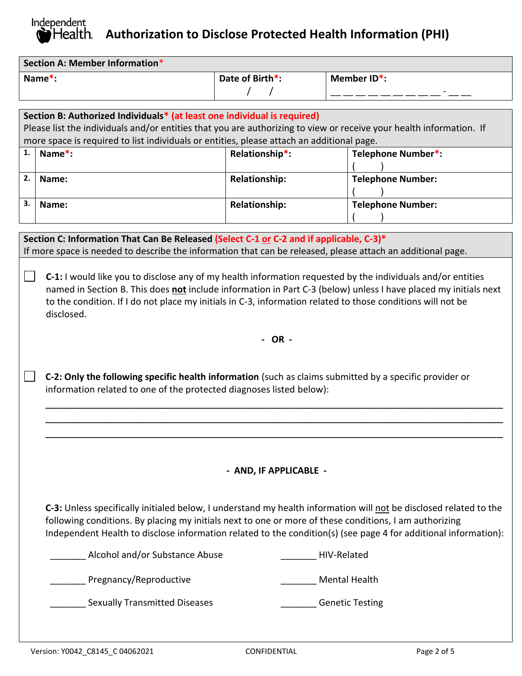# Independent **Authorization to Disclose Protected Health Information (PHI)**

| Section A: Member Information* |                 |                                         |  |
|--------------------------------|-----------------|-----------------------------------------|--|
| $Name^*$ :                     | Date of Birth*: | Member ID*:<br>$\overline{\phantom{0}}$ |  |
|                                |                 |                                         |  |

| Section B: Authorized Individuals* (at least one individual is required)                                            |        |                      |                          |  |
|---------------------------------------------------------------------------------------------------------------------|--------|----------------------|--------------------------|--|
| Please list the individuals and/or entities that you are authorizing to view or receive your health information. If |        |                      |                          |  |
| more space is required to list individuals or entities, please attach an additional page.                           |        |                      |                          |  |
| 1.                                                                                                                  | Name*: | Relationship*:       | Telephone Number*:       |  |
|                                                                                                                     |        |                      |                          |  |
| 2.                                                                                                                  | Name:  | <b>Relationship:</b> | <b>Telephone Number:</b> |  |
|                                                                                                                     |        |                      |                          |  |
|                                                                                                                     | Name:  | <b>Relationship:</b> | <b>Telephone Number:</b> |  |
|                                                                                                                     |        |                      |                          |  |

**Section C: Information That Can Be Released (Select C-1 or C-2 and if applicable, C-3)\*** If more space is needed to describe the information that can be released, please attach an additional page.

**C-1:** I would like you to disclose any of my health information requested by the individuals and/or entities named in Section B. This does **not** include information in Part C-3 (below) unless I have placed my initials next to the condition. If I do not place my initials in C-3, information related to those conditions will not be disclosed.

**- OR -**

\_\_\_\_\_\_\_\_\_\_\_\_\_\_\_\_\_\_\_\_\_\_\_\_\_\_\_\_\_\_\_\_\_\_\_\_\_\_\_\_\_\_\_\_\_\_\_\_\_\_\_\_\_\_\_\_\_\_\_\_\_\_\_\_\_\_\_\_\_\_\_\_\_\_\_\_\_ \_\_\_\_\_\_\_\_\_\_\_\_\_\_\_\_\_\_\_\_\_\_\_\_\_\_\_\_\_\_\_\_\_\_\_\_\_\_\_\_\_\_\_\_\_\_\_\_\_\_\_\_\_\_\_\_\_\_\_\_\_\_\_\_\_\_\_\_\_\_\_\_\_\_\_\_\_ \_\_\_\_\_\_\_\_\_\_\_\_\_\_\_\_\_\_\_\_\_\_\_\_\_\_\_\_\_\_\_\_\_\_\_\_\_\_\_\_\_\_\_\_\_\_\_\_\_\_\_\_\_\_\_\_\_\_\_\_\_\_\_\_\_\_\_\_\_\_\_\_\_\_\_\_\_

**C-2: Only the following specific health information** (such as claims submitted by a specific provider or information related to one of the protected diagnoses listed below):

## **- AND, IF APPLICABLE -**

**C-3:** Unless specifically initialed below, I understand my health information will not be disclosed related to the following conditions. By placing my initials next to one or more of these conditions, I am authorizing Independent Health to disclose information related to the condition(s) (see page 4 for additional information):

| Alcohol and/or Substance Abuse       | HIV-Related            |
|--------------------------------------|------------------------|
| Pregnancy/Reproductive               | Mental Health          |
| <b>Sexually Transmitted Diseases</b> | <b>Genetic Testing</b> |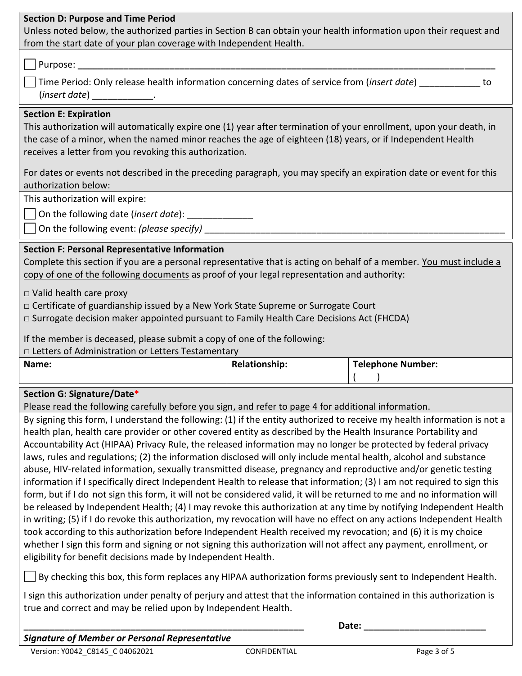### **Section D: Purpose and Time Period**

Unless noted below, the authorized parties in Section B can obtain your health information upon their request and from the start date of your plan coverage with Independent Health.

### Purpose: **\_\_\_\_\_\_\_\_\_\_\_\_\_\_\_\_\_\_\_\_\_\_\_\_\_\_\_\_\_\_\_\_\_\_\_\_\_\_\_\_\_\_\_\_\_\_\_\_\_\_\_\_\_\_\_\_\_\_\_\_\_\_\_\_\_\_\_\_\_\_\_\_\_\_\_\_\_\_\_\_\_\_**

| Time Period: Only release health information concerning dates of service from (insert date) |  |
|---------------------------------------------------------------------------------------------|--|
| (insert date)                                                                               |  |

#### **Section E: Expiration**

This authorization will automatically expire one (1) year after termination of your enrollment, upon your death, in the case of a minor, when the named minor reaches the age of eighteen (18) years, or if Independent Health receives a letter from you revoking this authorization.

For dates or events not described in the preceding paragraph, you may specify an expiration date or event for this authorization below:

This authorization will expire:

On the following date (*insert date*): \_\_\_\_\_\_\_\_\_\_\_\_\_

On the following event: *(please specify)* \_\_\_\_\_\_\_\_\_\_\_\_\_\_\_\_\_\_\_\_\_\_\_\_\_\_\_\_\_\_\_\_\_\_\_\_\_\_\_\_\_\_\_\_\_\_\_\_\_\_\_\_\_\_\_\_\_\_\_

### **Section F: Personal Representative Information**

Complete this section if you are a personal representative that is acting on behalf of a member. You must include a copy of one of the following documents as proof of your legal representation and authority:

□ Valid health care proxy

□ Certificate of guardianship issued by a New York State Supreme or Surrogate Court

□ Surrogate decision maker appointed pursuant to Family Health Care Decisions Act (FHCDA)

If the member is deceased, please submit a copy of one of the following:

*□* Letters of Administration or Letters Testamentary

| Name: | <b>Relationship:</b> | <b>Telephone Number:</b> |
|-------|----------------------|--------------------------|
|       |                      |                          |
|       |                      |                          |

## **Section G: Signature/Date\***

Please read the following carefully before you sign, and refer to page 4 for additional information.

By signing this form, I understand the following: (1) if the entity authorized to receive my health information is not a health plan, health care provider or other covered entity as described by the Health Insurance Portability and Accountability Act (HIPAA) Privacy Rule, the released information may no longer be protected by federal privacy laws, rules and regulations; (2) the information disclosed will only include mental health, alcohol and substance abuse, HIV-related information, sexually transmitted disease, pregnancy and reproductive and/or genetic testing information if I specifically direct Independent Health to release that information; (3) I am not required to sign this form, but if I donot sign this form, it will not be considered valid, it will be returned to me and no information will be released by Independent Health; (4) I may revoke this authorization at any time by notifying Independent Health in writing; (5) if I do revoke this authorization, my revocation will have no effect on any actions Independent Health took according to this authorization before Independent Health received my revocation; and (6) it is my choice whether I sign this form and signing or not signing this authorization will not affect any payment, enrollment, or eligibility for benefit decisions made by Independent Health.

 $\vert\,\,\,\vert$  By checking this box, this form replaces any HIPAA authorization forms previously sent to Independent Health.

I sign this authorization under penalty of perjury and attest that the information contained in this authorization is true and correct and may be relied upon by Independent Health.

**\_\_\_\_\_\_\_\_\_\_\_\_\_\_\_\_\_\_\_\_\_\_\_\_\_\_\_\_\_\_\_\_\_\_\_\_\_\_\_\_\_\_\_\_\_\_\_\_\_\_\_\_\_\_\_ Date: \_\_\_\_\_\_\_\_\_\_\_\_\_\_\_\_\_\_\_\_\_\_\_\_**

*Signature of Member or Personal Representative*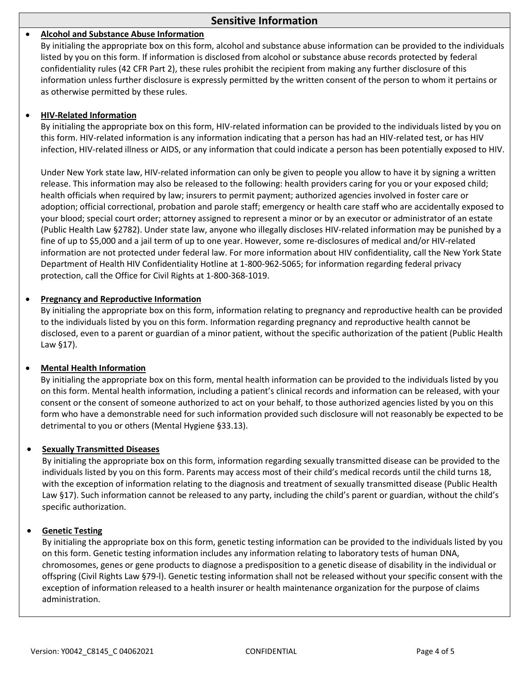### **Sensitive Information**

#### • **Alcohol and Substance Abuse Information**

By initialing the appropriate box on this form, alcohol and substance abuse information can be provided to the individuals listed by you on this form. If information is disclosed from alcohol or substance abuse records protected by federal confidentiality rules (42 CFR Part 2), these rules prohibit the recipient from making any further disclosure of this information unless further disclosure is expressly permitted by the written consent of the person to whom it pertains or as otherwise permitted by these rules.

#### • **HIV-Related Information**

By initialing the appropriate box on this form, HIV-related information can be provided to the individuals listed by you on this form. HIV-related information is any information indicating that a person has had an HIV-related test, or has HIV infection, HIV-related illness or AIDS, or any information that could indicate a person has been potentially exposed to HIV.

Under New York state law, HIV-related information can only be given to people you allow to have it by signing a written release. This information may also be released to the following: health providers caring for you or your exposed child; health officials when required by law; insurers to permit payment; authorized agencies involved in foster care or adoption; official correctional, probation and parole staff; emergency or health care staff who are accidentally exposed to your blood; special court order; attorney assigned to represent a minor or by an executor or administrator of an estate (Public Health Law §2782). Under state law, anyone who illegally discloses HIV-related information may be punished by a fine of up to \$5,000 and a jail term of up to one year. However, some re-disclosures of medical and/or HIV-related information are not protected under federal law. For more information about HIV confidentiality, call the New York State Department of Health HIV Confidentiality Hotline at 1-800-962-5065; for information regarding federal privacy protection, call the Office for Civil Rights at 1-800-368-1019.

#### • **Pregnancy and Reproductive Information**

By initialing the appropriate box on this form, information relating to pregnancy and reproductive health can be provided to the individuals listed by you on this form. Information regarding pregnancy and reproductive health cannot be disclosed, even to a parent or guardian of a minor patient, without the specific authorization of the patient (Public Health Law §17).

#### • **Mental Health Information**

By initialing the appropriate box on this form, mental health information can be provided to the individuals listed by you on this form. Mental health information, including a patient's clinical records and information can be released, with your consent or the consent of someone authorized to act on your behalf, to those authorized agencies listed by you on this form who have a demonstrable need for such information provided such disclosure will not reasonably be expected to be detrimental to you or others (Mental Hygiene §33.13).

#### • **Sexually Transmitted Diseases**

By initialing the appropriate box on this form, information regarding sexually transmitted disease can be provided to the individuals listed by you on this form. Parents may access most of their child's medical records until the child turns 18, with the exception of information relating to the diagnosis and treatment of sexually transmitted disease (Public Health Law §17). Such information cannot be released to any party, including the child's parent or guardian, without the child's specific authorization.

#### • **Genetic Testing**

By initialing the appropriate box on this form, genetic testing information can be provided to the individuals listed by you on this form. Genetic testing information includes any information relating to laboratory tests of human DNA, chromosomes, genes or gene products to diagnose a predisposition to a genetic disease of disability in the individual or offspring (Civil Rights Law §79-l). Genetic testing information shall not be released without your specific consent with the exception of information released to a health insurer or health maintenance organization for the purpose of claims administration.